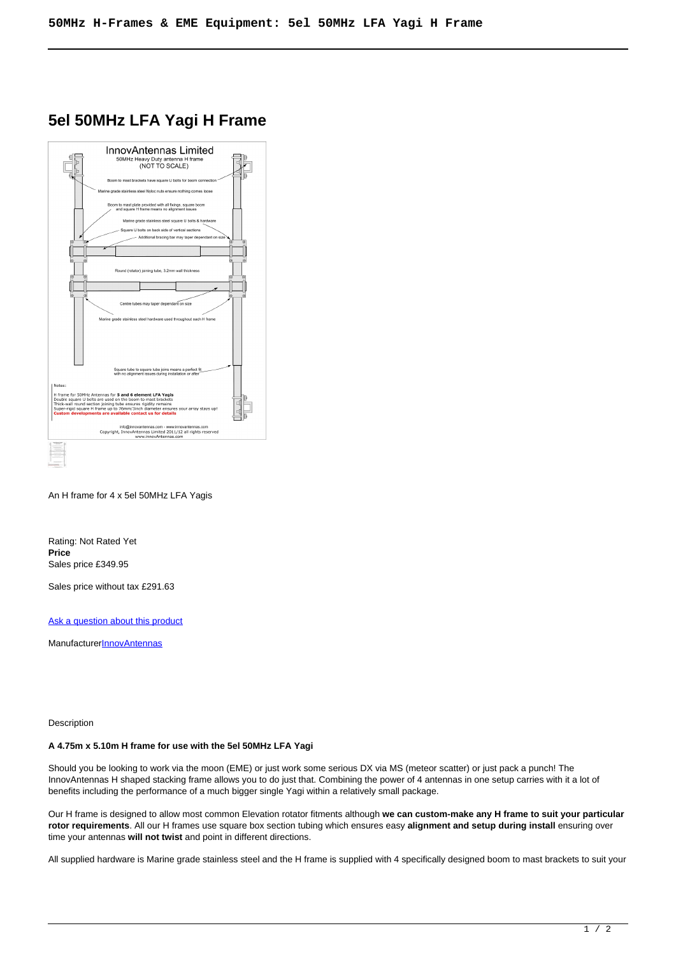# **5el 50MHz LFA Yagi H Frame**



An H frame for 4 x 5el 50MHz LFA Yagis

Rating: Not Rated Yet **Price**  Sales price £349.95

Sales price without tax £291.63

[Ask a question about this product](https://innovantennas.com/index.php?option=com_virtuemart&view=productdetails&task=askquestion&virtuemart_product_id=287&virtuemart_category_id=28&tmpl=component)

Manufacturer**[InnovAntennas](https://innovantennas.com/index.php?option=com_virtuemart&view=manufacturer&virtuemart_manufacturer_id=1&tmpl=component)** 

Description

## **A 4.75m x 5.10m H frame for use with the 5el 50MHz LFA Yagi**

Should you be looking to work via the moon (EME) or just work some serious DX via MS (meteor scatter) or just pack a punch! The InnovAntennas H shaped stacking frame allows you to do just that. Combining the power of 4 antennas in one setup carries with it a lot of benefits including the performance of a much bigger single Yagi within a relatively small package.

Our H frame is designed to allow most common Elevation rotator fitments although **we can custom-make any H frame to suit your particular rotor requirements**. All our H frames use square box section tubing which ensures easy **alignment and setup during install** ensuring over time your antennas **will not twist** and point in different directions.

All supplied hardware is Marine grade stainless steel and the H frame is supplied with 4 specifically designed boom to mast brackets to suit your